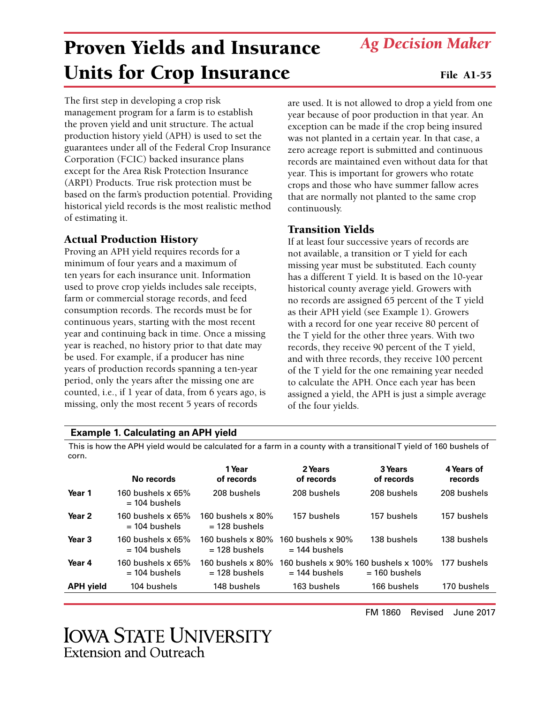**IOWA STATE UNIVERSITY** Extension and Outreach

# Proven Yields and Insurance Units for Crop Insurance

The first step in developing a crop risk management program for a farm is to establish the proven yield and unit structure. The actual production history yield (APH) is used to set the guarantees under all of the Federal Crop Insurance Corporation (FCIC) backed insurance plans except for the Area Risk Protection Insurance (ARPI) Products. True risk protection must be based on the farm's production potential. Providing historical yield records is the most realistic method of estimating it.

# Actual Production History

Proving an APH yield requires records for a minimum of four years and a maximum of ten years for each insurance unit. Information used to prove crop yields includes sale receipts, farm or commercial storage records, and feed consumption records. The records must be for continuous years, starting with the most recent year and continuing back in time. Once a missing year is reached, no history prior to that date may be used. For example, if a producer has nine years of production records spanning a ten-year period, only the years after the missing one are counted, i.e., if 1 year of data, from 6 years ago, is missing, only the most recent 5 years of records

are used. It is not allowed to drop a yield from one year because of poor production in that year. An exception can be made if the crop being insured was not planted in a certain year. In that case, a zero acreage report is submitted and continuous records are maintained even without data for that year. This is important for growers who rotate crops and those who have summer fallow acres that are normally not planted to the same crop continuously.

## Transition Yields

If at least four successive years of records are not available, a transition or T yield for each missing year must be substituted. Each county has a different T yield. It is based on the 10-year historical county average yield. Growers with no records are assigned 65 percent of the T yield as their APH yield (see Example 1). Growers with a record for one year receive 80 percent of the T yield for the other three years. With two records, they receive 90 percent of the T yield, and with three records, they receive 100 percent of the T yield for the one remaining year needed to calculate the APH. Once each year has been assigned a yield, the APH is just a simple average of the four yields.

## **Example 1. Calculating an APH yield**

This is how the APH yield would be calculated for a farm in a county with a transitional T yield of 160 bushels of corn.

|                   | No records                                  | 1 Year<br>of records                        | 2 Years<br>of records                                   | 3 Years<br>of records | 4 Years of<br>records |
|-------------------|---------------------------------------------|---------------------------------------------|---------------------------------------------------------|-----------------------|-----------------------|
| Year 1            | 160 bushels $\times$ 65%<br>$= 104$ bushels | 208 bushels                                 | 208 bushels                                             | 208 bushels           | 208 bushels           |
| Year <sub>2</sub> | $160$ bushels x $65\%$<br>$= 104$ bushels   | $160$ bushels x $80\%$<br>$= 128$ bushels   | 157 bushels                                             | 157 bushels           | 157 bushels           |
| Year <sub>3</sub> | 160 bushels $\times$ 65%<br>$= 104$ bushels | 160 bushels $\times$ 80%<br>$= 128$ bushels | 160 bushels x 90%<br>$= 144$ bushels                    | 138 bushels           | 138 bushels           |
| Year 4            | $160$ bushels x $65\%$<br>$= 104$ bushels   | $160$ bushels x $80\%$<br>$= 128$ bushels   | 160 bushels x 90% 160 bushels x 100%<br>$= 144$ bushels | $= 160$ bushels       | 177 bushels           |
| <b>APH</b> yield  | 104 bushels                                 | 148 bushels                                 | 163 bushels                                             | 166 bushels           | 170 bushels           |
|                   |                                             |                                             |                                                         |                       |                       |

FM 1860 Revised June 2017

*Ag Decision Maker*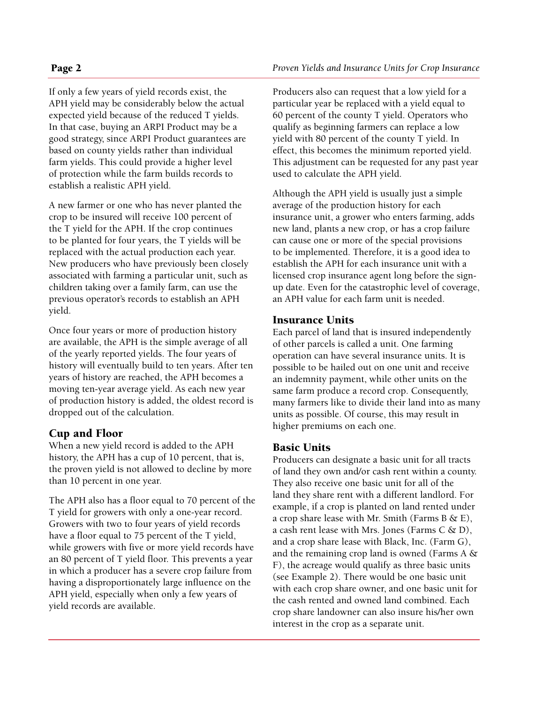### If only a few years of yield records exist, the APH yield may be considerably below the actual expected yield because of the reduced T yields. In that case, buying an ARPI Product may be a good strategy, since ARPI Product guarantees are based on county yields rather than individual farm yields. This could provide a higher level of protection while the farm builds records to establish a realistic APH yield.

A new farmer or one who has never planted the crop to be insured will receive 100 percent of the T yield for the APH. If the crop continues to be planted for four years, the T yields will be replaced with the actual production each year. New producers who have previously been closely associated with farming a particular unit, such as children taking over a family farm, can use the previous operator's records to establish an APH yield.

Once four years or more of production history are available, the APH is the simple average of all of the yearly reported yields. The four years of history will eventually build to ten years. After ten years of history are reached, the APH becomes a moving ten-year average yield. As each new year of production history is added, the oldest record is dropped out of the calculation.

## Cup and Floor

When a new yield record is added to the APH history, the APH has a cup of 10 percent, that is, the proven yield is not allowed to decline by more than 10 percent in one year.

The APH also has a floor equal to 70 percent of the T yield for growers with only a one-year record. Growers with two to four years of yield records have a floor equal to 75 percent of the T yield, while growers with five or more yield records have an 80 percent of T yield floor. This prevents a year in which a producer has a severe crop failure from having a disproportionately large influence on the APH yield, especially when only a few years of yield records are available.

Producers also can request that a low yield for a particular year be replaced with a yield equal to 60 percent of the county T yield. Operators who qualify as beginning farmers can replace a low yield with 80 percent of the county T yield. In effect, this becomes the minimum reported yield. This adjustment can be requested for any past year used to calculate the APH yield.

Although the APH yield is usually just a simple average of the production history for each insurance unit, a grower who enters farming, adds new land, plants a new crop, or has a crop failure can cause one or more of the special provisions to be implemented. Therefore, it is a good idea to establish the APH for each insurance unit with a licensed crop insurance agent long before the signup date. Even for the catastrophic level of coverage, an APH value for each farm unit is needed.

## Insurance Units

Each parcel of land that is insured independently of other parcels is called a unit. One farming operation can have several insurance units. It is possible to be hailed out on one unit and receive an indemnity payment, while other units on the same farm produce a record crop. Consequently, many farmers like to divide their land into as many units as possible. Of course, this may result in higher premiums on each one.

## Basic Units

Producers can designate a basic unit for all tracts of land they own and/or cash rent within a county. They also receive one basic unit for all of the land they share rent with a different landlord. For example, if a crop is planted on land rented under a crop share lease with Mr. Smith (Farms B  $\&$  E), a cash rent lease with Mrs. Jones (Farms  $C \& D$ ), and a crop share lease with Black, Inc. (Farm G), and the remaining crop land is owned (Farms A & F), the acreage would qualify as three basic units (see Example 2). There would be one basic unit with each crop share owner, and one basic unit for the cash rented and owned land combined. Each crop share landowner can also insure his/her own interest in the crop as a separate unit.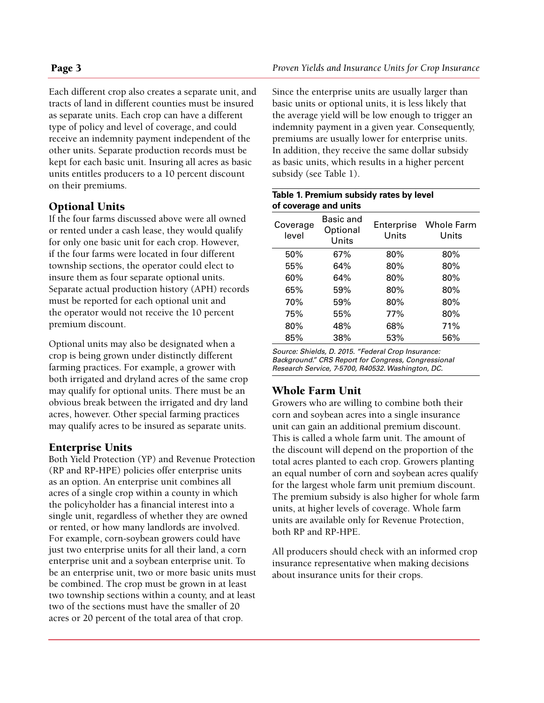Each different crop also creates a separate unit, and tracts of land in different counties must be insured as separate units. Each crop can have a different type of policy and level of coverage, and could receive an indemnity payment independent of the other units. Separate production records must be kept for each basic unit. Insuring all acres as basic units entitles producers to a 10 percent discount on their premiums.

# Optional Units

If the four farms discussed above were all owned or rented under a cash lease, they would qualify for only one basic unit for each crop. However, if the four farms were located in four different township sections, the operator could elect to insure them as four separate optional units. Separate actual production history (APH) records must be reported for each optional unit and the operator would not receive the 10 percent premium discount.

Optional units may also be designated when a crop is being grown under distinctly different farming practices. For example, a grower with both irrigated and dryland acres of the same crop may qualify for optional units. There must be an obvious break between the irrigated and dry land acres, however. Other special farming practices may qualify acres to be insured as separate units.

# Enterprise Units

Both Yield Protection (YP) and Revenue Protection (RP and RP-HPE) policies offer enterprise units as an option. An enterprise unit combines all acres of a single crop within a county in which the policyholder has a financial interest into a single unit, regardless of whether they are owned or rented, or how many landlords are involved. For example, corn-soybean growers could have just two enterprise units for all their land, a corn enterprise unit and a soybean enterprise unit. To be an enterprise unit, two or more basic units must be combined. The crop must be grown in at least two township sections within a county, and at least two of the sections must have the smaller of 20 acres or 20 percent of the total area of that crop.

Since the enterprise units are usually larger than basic units or optional units, it is less likely that the average yield will be low enough to trigger an indemnity payment in a given year. Consequently, premiums are usually lower for enterprise units. In addition, they receive the same dollar subsidy as basic units, which results in a higher percent subsidy (see Table 1).

#### **Table 1. Premium subsidy rates by level of coverage and units**

| Coverage<br>level | Basic and<br>Optional<br>Units | Enterprise<br>Units | <b>Whole Farm</b><br>Units |
|-------------------|--------------------------------|---------------------|----------------------------|
| 50%               | 67%                            | 80%                 | 80%                        |
| 55%               | 64%                            | 80%                 | 80%                        |
| 60%               | 64%                            | 80%                 | 80%                        |
| 65%               | 59%                            | 80%                 | 80%                        |
| 70%               | 59%                            | 80%                 | 80%                        |
| 75%               | 55%                            | 77%                 | 80%                        |
| 80%               | 48%                            | 68%                 | 71%                        |
| 85%               | 38%                            | 53%                 | 56%                        |

*Source: Shields, D. 2015. "Federal Crop Insurance: Background." CRS Report for Congress, Congressional Research Service, 7-5700, R40532. Washington, DC.*

# Whole Farm Unit

Growers who are willing to combine both their corn and soybean acres into a single insurance unit can gain an additional premium discount. This is called a whole farm unit. The amount of the discount will depend on the proportion of the total acres planted to each crop. Growers planting an equal number of corn and soybean acres qualify for the largest whole farm unit premium discount. The premium subsidy is also higher for whole farm units, at higher levels of coverage. Whole farm units are available only for Revenue Protection, both RP and RP-HPE.

All producers should check with an informed crop insurance representative when making decisions about insurance units for their crops.